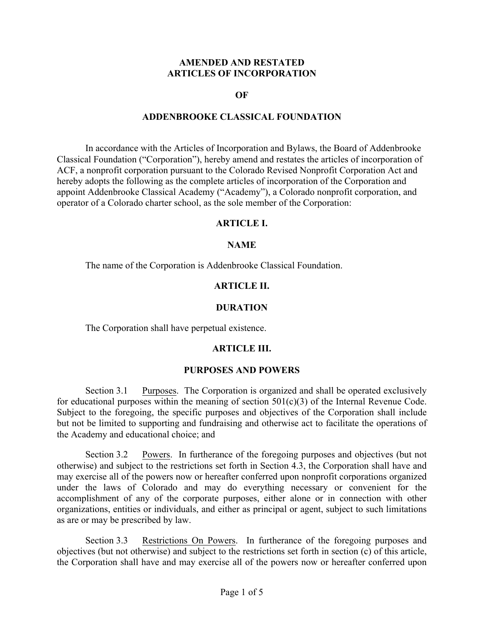## **AMENDED AND RESTATED ARTICLES OF INCORPORATION**

### **OF**

## **ADDENBROOKE CLASSICAL FOUNDATION**

In accordance with the Articles of Incorporation and Bylaws, the Board of Addenbrooke Classical Foundation ("Corporation"), hereby amend and restates the articles of incorporation of ACF, a nonprofit corporation pursuant to the Colorado Revised Nonprofit Corporation Act and hereby adopts the following as the complete articles of incorporation of the Corporation and appoint Addenbrooke Classical Academy ("Academy"), a Colorado nonprofit corporation, and operator of a Colorado charter school, as the sole member of the Corporation:

### **ARTICLE I.**

### **NAME**

The name of the Corporation is Addenbrooke Classical Foundation.

### **ARTICLE II.**

### **DURATION**

The Corporation shall have perpetual existence.

## **ARTICLE III.**

#### **PURPOSES AND POWERS**

Section 3.1 Purposes. The Corporation is organized and shall be operated exclusively for educational purposes within the meaning of section  $501(c)(3)$  of the Internal Revenue Code. Subject to the foregoing, the specific purposes and objectives of the Corporation shall include but not be limited to supporting and fundraising and otherwise act to facilitate the operations of the Academy and educational choice; and

Section 3.2 Powers. In furtherance of the foregoing purposes and objectives (but not otherwise) and subject to the restrictions set forth in Section 4.3, the Corporation shall have and may exercise all of the powers now or hereafter conferred upon nonprofit corporations organized under the laws of Colorado and may do everything necessary or convenient for the accomplishment of any of the corporate purposes, either alone or in connection with other organizations, entities or individuals, and either as principal or agent, subject to such limitations as are or may be prescribed by law.

Section 3.3 Restrictions On Powers. In furtherance of the foregoing purposes and objectives (but not otherwise) and subject to the restrictions set forth in section (c) of this article, the Corporation shall have and may exercise all of the powers now or hereafter conferred upon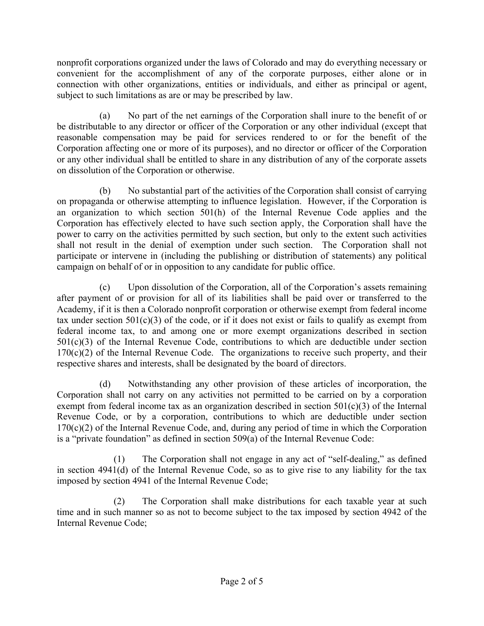nonprofit corporations organized under the laws of Colorado and may do everything necessary or convenient for the accomplishment of any of the corporate purposes, either alone or in connection with other organizations, entities or individuals, and either as principal or agent, subject to such limitations as are or may be prescribed by law.

(a) No part of the net earnings of the Corporation shall inure to the benefit of or be distributable to any director or officer of the Corporation or any other individual (except that reasonable compensation may be paid for services rendered to or for the benefit of the Corporation affecting one or more of its purposes), and no director or officer of the Corporation or any other individual shall be entitled to share in any distribution of any of the corporate assets on dissolution of the Corporation or otherwise.

(b) No substantial part of the activities of the Corporation shall consist of carrying on propaganda or otherwise attempting to influence legislation. However, if the Corporation is an organization to which section 501(h) of the Internal Revenue Code applies and the Corporation has effectively elected to have such section apply, the Corporation shall have the power to carry on the activities permitted by such section, but only to the extent such activities shall not result in the denial of exemption under such section. The Corporation shall not participate or intervene in (including the publishing or distribution of statements) any political campaign on behalf of or in opposition to any candidate for public office.

(c) Upon dissolution of the Corporation, all of the Corporation's assets remaining after payment of or provision for all of its liabilities shall be paid over or transferred to the Academy, if it is then a Colorado nonprofit corporation or otherwise exempt from federal income tax under section  $501(c)(3)$  of the code, or if it does not exist or fails to qualify as exempt from federal income tax, to and among one or more exempt organizations described in section 501(c)(3) of the Internal Revenue Code, contributions to which are deductible under section  $170(c)(2)$  of the Internal Revenue Code. The organizations to receive such property, and their respective shares and interests, shall be designated by the board of directors.

(d) Notwithstanding any other provision of these articles of incorporation, the Corporation shall not carry on any activities not permitted to be carried on by a corporation exempt from federal income tax as an organization described in section 501(c)(3) of the Internal Revenue Code, or by a corporation, contributions to which are deductible under section  $170(c)(2)$  of the Internal Revenue Code, and, during any period of time in which the Corporation is a "private foundation" as defined in section 509(a) of the Internal Revenue Code:

(1) The Corporation shall not engage in any act of "self-dealing," as defined in section 4941(d) of the Internal Revenue Code, so as to give rise to any liability for the tax imposed by section 4941 of the Internal Revenue Code;

(2) The Corporation shall make distributions for each taxable year at such time and in such manner so as not to become subject to the tax imposed by section 4942 of the Internal Revenue Code;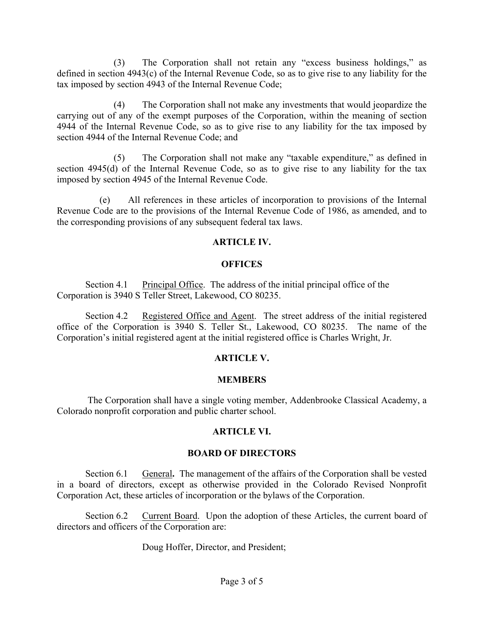(3) The Corporation shall not retain any "excess business holdings," as defined in section 4943(c) of the Internal Revenue Code, so as to give rise to any liability for the tax imposed by section 4943 of the Internal Revenue Code;

(4) The Corporation shall not make any investments that would jeopardize the carrying out of any of the exempt purposes of the Corporation, within the meaning of section 4944 of the Internal Revenue Code, so as to give rise to any liability for the tax imposed by section 4944 of the Internal Revenue Code; and

(5) The Corporation shall not make any "taxable expenditure," as defined in section 4945(d) of the Internal Revenue Code, so as to give rise to any liability for the tax imposed by section 4945 of the Internal Revenue Code.

(e) All references in these articles of incorporation to provisions of the Internal Revenue Code are to the provisions of the Internal Revenue Code of 1986, as amended, and to the corresponding provisions of any subsequent federal tax laws.

# **ARTICLE IV.**

# **OFFICES**

Section 4.1 Principal Office. The address of the initial principal office of the Corporation is 3940 S Teller Street, Lakewood, CO 80235.

Section 4.2 Registered Office and Agent. The street address of the initial registered office of the Corporation is 3940 S. Teller St., Lakewood, CO 80235. The name of the Corporation's initial registered agent at the initial registered office is Charles Wright, Jr.

# **ARTICLE V.**

# **MEMBERS**

The Corporation shall have a single voting member, Addenbrooke Classical Academy, a Colorado nonprofit corporation and public charter school.

# **ARTICLE VI.**

# **BOARD OF DIRECTORS**

Section 6.1 General**.** The management of the affairs of the Corporation shall be vested in a board of directors, except as otherwise provided in the Colorado Revised Nonprofit Corporation Act, these articles of incorporation or the bylaws of the Corporation.

Section 6.2 Current Board. Upon the adoption of these Articles, the current board of directors and officers of the Corporation are:

Doug Hoffer, Director, and President;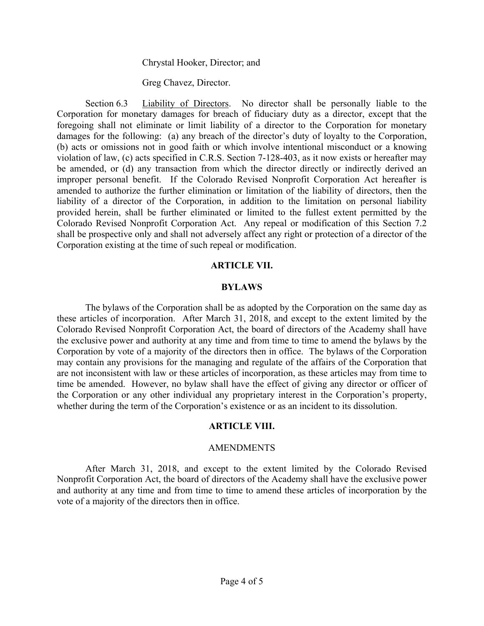#### Chrystal Hooker, Director; and

Greg Chavez, Director.

Section 6.3 Liability of Directors. No director shall be personally liable to the Corporation for monetary damages for breach of fiduciary duty as a director, except that the foregoing shall not eliminate or limit liability of a director to the Corporation for monetary damages for the following: (a) any breach of the director's duty of loyalty to the Corporation, (b) acts or omissions not in good faith or which involve intentional misconduct or a knowing violation of law, (c) acts specified in C.R.S. Section 7-128-403, as it now exists or hereafter may be amended, or (d) any transaction from which the director directly or indirectly derived an improper personal benefit. If the Colorado Revised Nonprofit Corporation Act hereafter is amended to authorize the further elimination or limitation of the liability of directors, then the liability of a director of the Corporation, in addition to the limitation on personal liability provided herein, shall be further eliminated or limited to the fullest extent permitted by the Colorado Revised Nonprofit Corporation Act. Any repeal or modification of this Section 7.2 shall be prospective only and shall not adversely affect any right or protection of a director of the Corporation existing at the time of such repeal or modification.

#### **ARTICLE VII.**

#### **BYLAWS**

The bylaws of the Corporation shall be as adopted by the Corporation on the same day as these articles of incorporation. After March 31, 2018, and except to the extent limited by the Colorado Revised Nonprofit Corporation Act, the board of directors of the Academy shall have the exclusive power and authority at any time and from time to time to amend the bylaws by the Corporation by vote of a majority of the directors then in office. The bylaws of the Corporation may contain any provisions for the managing and regulate of the affairs of the Corporation that are not inconsistent with law or these articles of incorporation, as these articles may from time to time be amended. However, no bylaw shall have the effect of giving any director or officer of the Corporation or any other individual any proprietary interest in the Corporation's property, whether during the term of the Corporation's existence or as an incident to its dissolution.

#### **ARTICLE VIII.**

#### AMENDMENTS

After March 31, 2018, and except to the extent limited by the Colorado Revised Nonprofit Corporation Act, the board of directors of the Academy shall have the exclusive power and authority at any time and from time to time to amend these articles of incorporation by the vote of a majority of the directors then in office.